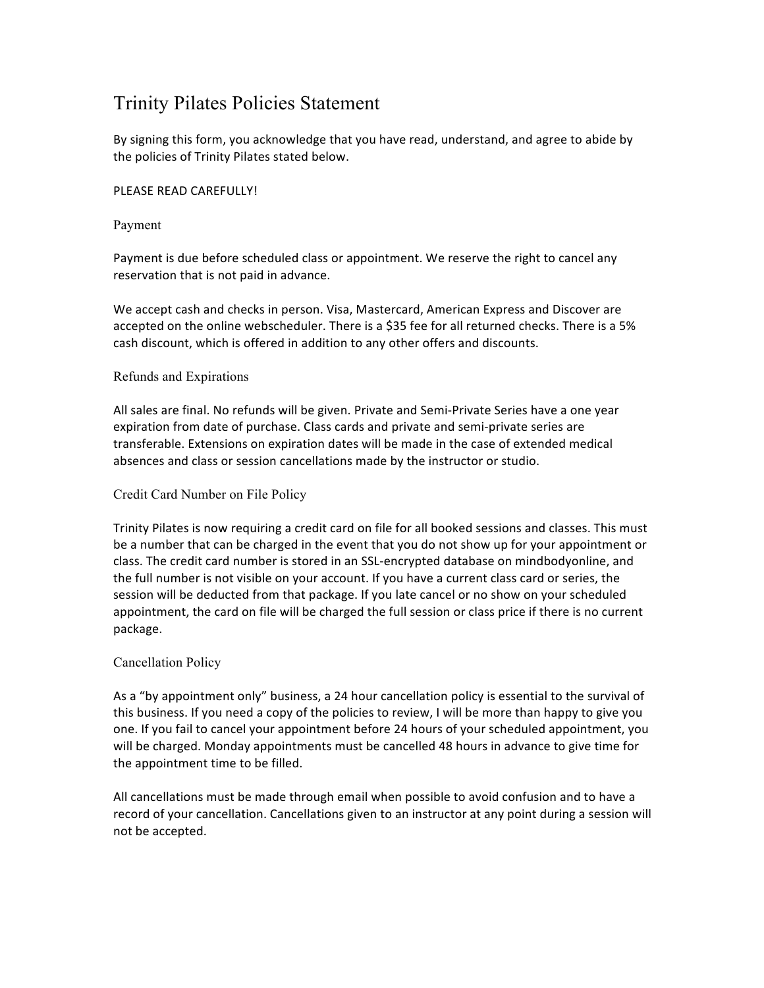# Trinity Pilates Policies Statement

By signing this form, you acknowledge that you have read, understand, and agree to abide by the policies of Trinity Pilates stated below.

## PLEASE READ CAREFULLY!

#### Payment

Payment is due before scheduled class or appointment. We reserve the right to cancel any reservation that is not paid in advance.

We accept cash and checks in person. Visa, Mastercard, American Express and Discover are accepted on the online webscheduler. There is a \$35 fee for all returned checks. There is a 5% cash discount, which is offered in addition to any other offers and discounts.

## Refunds and Expirations

All sales are final. No refunds will be given. Private and Semi-Private Series have a one year expiration from date of purchase. Class cards and private and semi-private series are transferable. Extensions on expiration dates will be made in the case of extended medical absences and class or session cancellations made by the instructor or studio.

#### Credit Card Number on File Policy

Trinity Pilates is now requiring a credit card on file for all booked sessions and classes. This must be a number that can be charged in the event that you do not show up for your appointment or class. The credit card number is stored in an SSL-encrypted database on mindbodyonline, and the full number is not visible on your account. If you have a current class card or series, the session will be deducted from that package. If you late cancel or no show on your scheduled appointment, the card on file will be charged the full session or class price if there is no current package. 

## Cancellation Policy

As a "by appointment only" business, a 24 hour cancellation policy is essential to the survival of this business. If you need a copy of the policies to review, I will be more than happy to give you one. If you fail to cancel your appointment before 24 hours of your scheduled appointment, you will be charged. Monday appointments must be cancelled 48 hours in advance to give time for the appointment time to be filled.

All cancellations must be made through email when possible to avoid confusion and to have a record of your cancellation. Cancellations given to an instructor at any point during a session will not be accepted.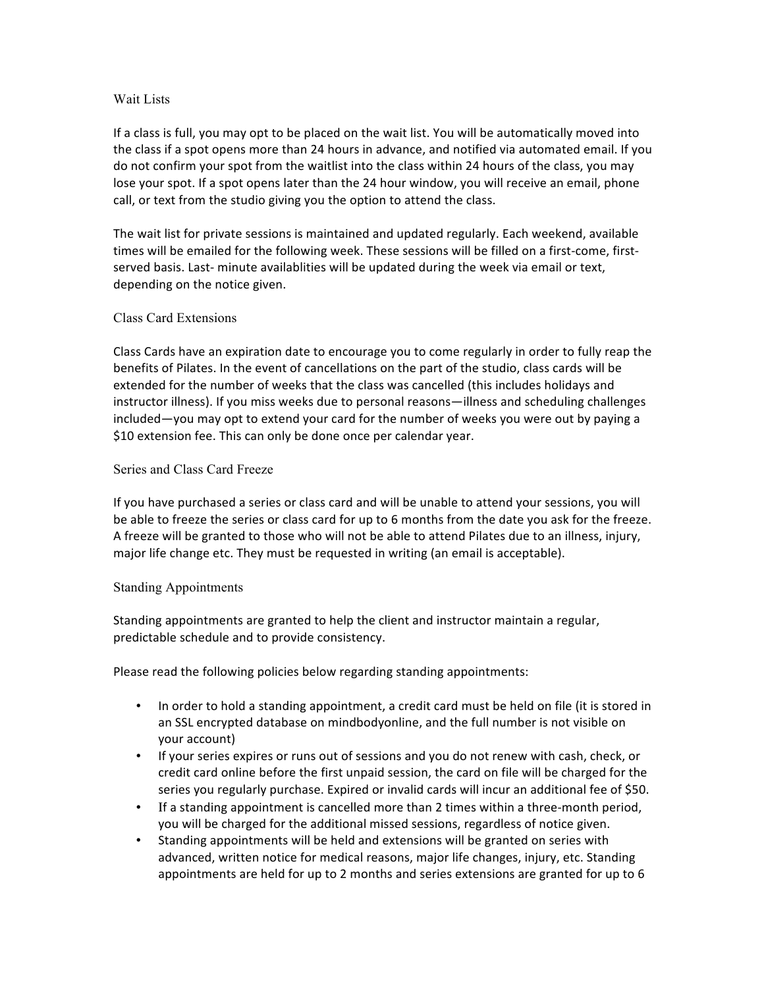## Wait Lists

If a class is full, you may opt to be placed on the wait list. You will be automatically moved into the class if a spot opens more than 24 hours in advance, and notified via automated email. If you do not confirm your spot from the waitlist into the class within 24 hours of the class, you may lose your spot. If a spot opens later than the 24 hour window, you will receive an email, phone call, or text from the studio giving you the option to attend the class.

The wait list for private sessions is maintained and updated regularly. Each weekend, available times will be emailed for the following week. These sessions will be filled on a first-come, firstserved basis. Last- minute availablities will be updated during the week via email or text, depending on the notice given.

#### Class Card Extensions

Class Cards have an expiration date to encourage you to come regularly in order to fully reap the benefits of Pilates. In the event of cancellations on the part of the studio, class cards will be extended for the number of weeks that the class was cancelled (this includes holidays and instructor illness). If you miss weeks due to personal reasons—illness and scheduling challenges included—you may opt to extend your card for the number of weeks you were out by paying a \$10 extension fee. This can only be done once per calendar year.

#### Series and Class Card Freeze

If you have purchased a series or class card and will be unable to attend your sessions, you will be able to freeze the series or class card for up to 6 months from the date you ask for the freeze. A freeze will be granted to those who will not be able to attend Pilates due to an illness, injury, major life change etc. They must be requested in writing (an email is acceptable).

#### Standing Appointments

Standing appointments are granted to help the client and instructor maintain a regular, predictable schedule and to provide consistency.

Please read the following policies below regarding standing appointments:

- In order to hold a standing appointment, a credit card must be held on file (it is stored in an SSL encrypted database on mindbodyonline, and the full number is not visible on your account)
- If your series expires or runs out of sessions and you do not renew with cash, check, or credit card online before the first unpaid session, the card on file will be charged for the series you regularly purchase. Expired or invalid cards will incur an additional fee of \$50.
- If a standing appointment is cancelled more than 2 times within a three-month period, you will be charged for the additional missed sessions, regardless of notice given.
- Standing appointments will be held and extensions will be granted on series with advanced, written notice for medical reasons, major life changes, injury, etc. Standing appointments are held for up to 2 months and series extensions are granted for up to 6